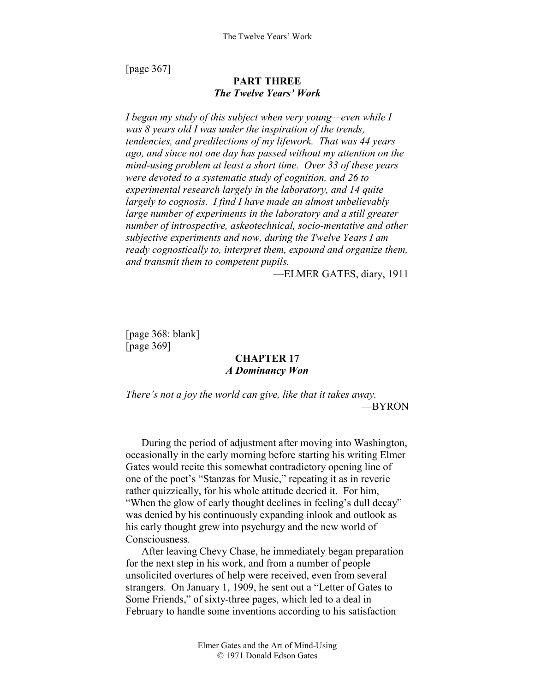[page 367]

# **PART THREE**  *The Twelve Years' Work*

*I began my study of this subject when very young—even while I was 8 years old I was under the inspiration of the trends, tendencies, and predilections of my lifework. That was 44 years ago, and since not one day has passed without my attention on the mind-using problem at least a short time. Over 33 of these years were devoted to a systematic study of cognition, and 26 to experimental research largely in the laboratory, and 14 quite largely to cognosis. I find I have made an almost unbelievably*  large number of experiments in the laboratory and a still greater *number of introspective, askeotechnical, socio-mentative and other subjective experiments and now, during the Twelve Years I am ready cognostically to, interpret them, expound and organize them, and transmit them to competent pupils.* 

—ELMER GATES, diary, 1911

[page 368: blank] [page 369]

# **CHAPTER 17**  *A Dominancy Won*

*There's not a joy the world can give, like that it takes away.*  —BYRON

During the period of adjustment after moving into Washington, occasionally in the early morning before starting his writing Elmer Gates would recite this somewhat contradictory opening line of one of the poet's "Stanzas for Music," repeating it as in reverie rather quizzically, for his whole attitude decried it. For him, "When the glow of early thought declines in feeling's dull decay" was denied by his continuously expanding inlook and outlook as his early thought grew into psychurgy and the new world of Consciousness.

After leaving Chevy Chase, he immediately began preparation for the next step in his work, and from a number of people unsolicited overtures of help were received, even from several strangers. On January 1, 1909, he sent out a "Letter of Gates to Some Friends," of sixty-three pages, which led to a deal in February to handle some inventions according to his satisfaction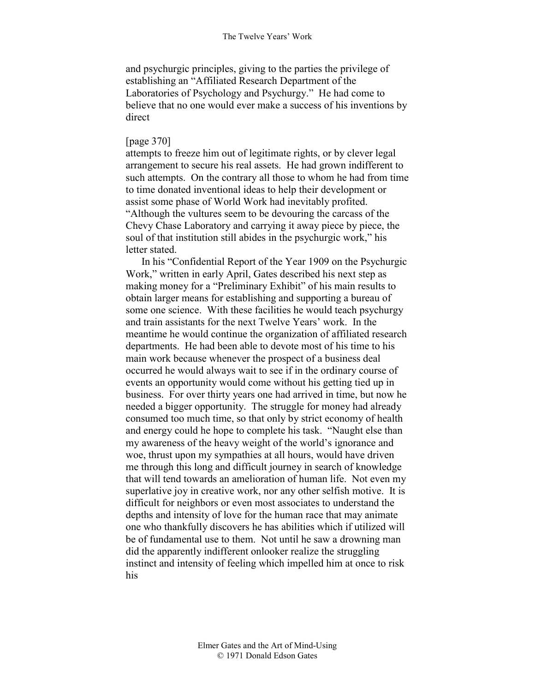and psychurgic principles, giving to the parties the privilege of establishing an "Affiliated Research Department of the Laboratories of Psychology and Psychurgy." He had come to believe that no one would ever make a success of his inventions by direct

## [page 370]

attempts to freeze him out of legitimate rights, or by clever legal arrangement to secure his real assets. He had grown indifferent to such attempts. On the contrary all those to whom he had from time to time donated inventional ideas to help their development or assist some phase of World Work had inevitably profited. "Although the vultures seem to be devouring the carcass of the Chevy Chase Laboratory and carrying it away piece by piece, the soul of that institution still abides in the psychurgic work," his letter stated.

In his "Confidential Report of the Year 1909 on the Psychurgic Work," written in early April, Gates described his next step as making money for a "Preliminary Exhibit" of his main results to obtain larger means for establishing and supporting a bureau of some one science. With these facilities he would teach psychurgy and train assistants for the next Twelve Years' work. In the meantime he would continue the organization of affiliated research departments. He had been able to devote most of his time to his main work because whenever the prospect of a business deal occurred he would always wait to see if in the ordinary course of events an opportunity would come without his getting tied up in business. For over thirty years one had arrived in time, but now he needed a bigger opportunity. The struggle for money had already consumed too much time, so that only by strict economy of health and energy could he hope to complete his task. "Naught else than my awareness of the heavy weight of the world's ignorance and woe, thrust upon my sympathies at all hours, would have driven me through this long and difficult journey in search of knowledge that will tend towards an amelioration of human life. Not even my superlative joy in creative work, nor any other selfish motive. It is difficult for neighbors or even most associates to understand the depths and intensity of love for the human race that may animate one who thankfully discovers he has abilities which if utilized will be of fundamental use to them. Not until he saw a drowning man did the apparently indifferent onlooker realize the struggling instinct and intensity of feeling which impelled him at once to risk his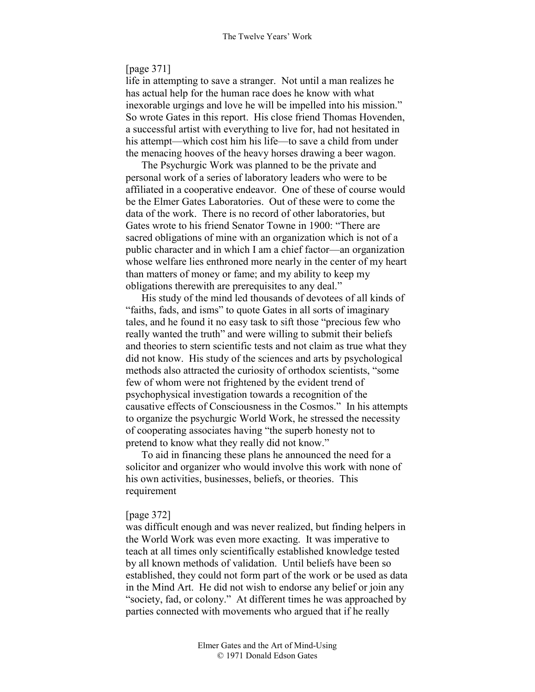## [page 371]

life in attempting to save a stranger. Not until a man realizes he has actual help for the human race does he know with what inexorable urgings and love he will be impelled into his mission." So wrote Gates in this report. His close friend Thomas Hovenden, a successful artist with everything to live for, had not hesitated in his attempt—which cost him his life—to save a child from under the menacing hooves of the heavy horses drawing a beer wagon.

The Psychurgic Work was planned to be the private and personal work of a series of laboratory leaders who were to be affiliated in a cooperative endeavor. One of these of course would be the Elmer Gates Laboratories. Out of these were to come the data of the work. There is no record of other laboratories, but Gates wrote to his friend Senator Towne in 1900: "There are sacred obligations of mine with an organization which is not of a public character and in which I am a chief factor—an organization whose welfare lies enthroned more nearly in the center of my heart than matters of money or fame; and my ability to keep my obligations therewith are prerequisites to any deal."

His study of the mind led thousands of devotees of all kinds of "faiths, fads, and isms" to quote Gates in all sorts of imaginary tales, and he found it no easy task to sift those "precious few who really wanted the truth" and were willing to submit their beliefs and theories to stern scientific tests and not claim as true what they did not know. His study of the sciences and arts by psychological methods also attracted the curiosity of orthodox scientists, "some few of whom were not frightened by the evident trend of psychophysical investigation towards a recognition of the causative effects of Consciousness in the Cosmos." In his attempts to organize the psychurgic World Work, he stressed the necessity of cooperating associates having "the superb honesty not to pretend to know what they really did not know."

To aid in financing these plans he announced the need for a solicitor and organizer who would involve this work with none of his own activities, businesses, beliefs, or theories. This requirement

### [page 372]

was difficult enough and was never realized, but finding helpers in the World Work was even more exacting. It was imperative to teach at all times only scientifically established knowledge tested by all known methods of validation. Until beliefs have been so established, they could not form part of the work or be used as data in the Mind Art. He did not wish to endorse any belief or join any "society, fad, or colony." At different times he was approached by parties connected with movements who argued that if he really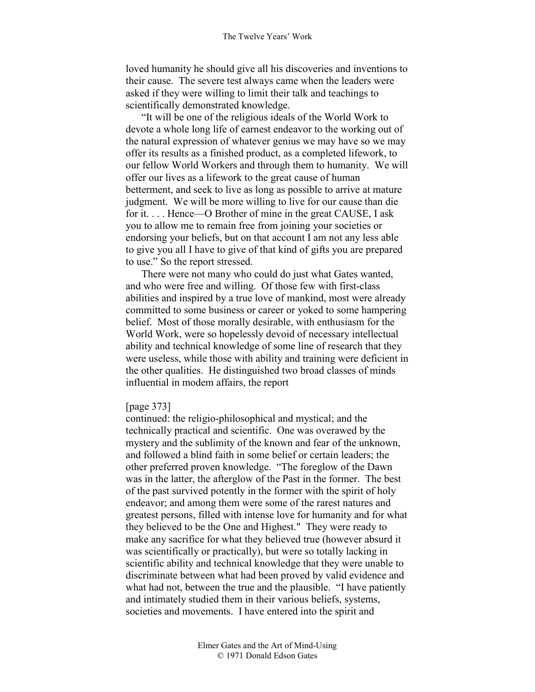loved humanity he should give all his discoveries and inventions to their cause. The severe test always came when the leaders were asked if they were willing to limit their talk and teachings to scientifically demonstrated knowledge.

"It will be one of the religious ideals of the World Work to devote a whole long life of earnest endeavor to the working out of the natural expression of whatever genius we may have so we may offer its results as a finished product, as a completed lifework, to our fellow World Workers and through them to humanity. We will offer our lives as a lifework to the great cause of human betterment, and seek to live as long as possible to arrive at mature judgment. We will be more willing to live for our cause than die for it. . . . Hence—O Brother of mine in the great CAUSE, I ask you to allow me to remain free from joining your societies or endorsing your beliefs, but on that account I am not any less able to give you all I have to give of that kind of gifts you are prepared to use." So the report stressed.

There were not many who could do just what Gates wanted, and who were free and willing. Of those few with first-class abilities and inspired by a true love of mankind, most were already committed to some business or career or yoked to some hampering belief. Most of those morally desirable, with enthusiasm for the World Work, were so hopelessly devoid of necessary intellectual ability and technical knowledge of some line of research that they were useless, while those with ability and training were deficient in the other qualities. He distinguished two broad classes of minds influential in modem affairs, the report

### [page 373]

continued: the religio-philosophical and mystical; and the technically practical and scientific. One was overawed by the mystery and the sublimity of the known and fear of the unknown, and followed a blind faith in some belief or certain leaders; the other preferred proven knowledge. "The foreglow of the Dawn was in the latter, the afterglow of the Past in the former. The best of the past survived potently in the former with the spirit of holy endeavor; and among them were some of the rarest natures and greatest persons, filled with intense love for humanity and for what they believed to be the One and Highest." They were ready to make any sacrifice for what they believed true (however absurd it was scientifically or practically), but were so totally lacking in scientific ability and technical knowledge that they were unable to discriminate between what had been proved by valid evidence and what had not, between the true and the plausible. "I have patiently and intimately studied them in their various beliefs, systems, societies and movements. I have entered into the spirit and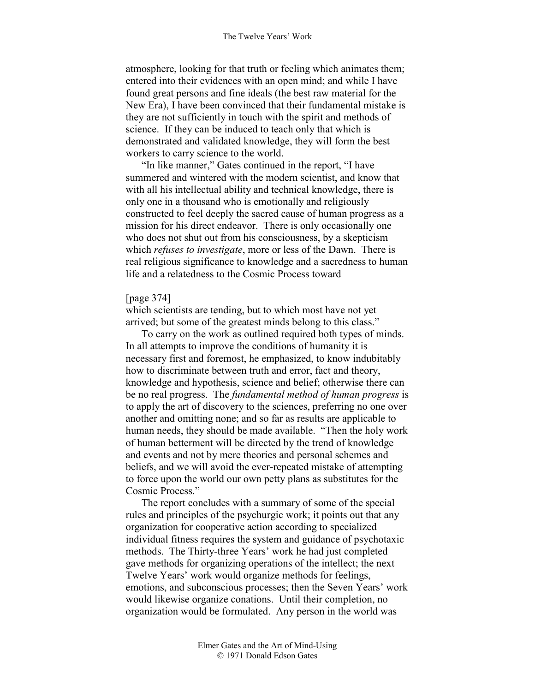atmosphere, looking for that truth or feeling which animates them; entered into their evidences with an open mind; and while I have found great persons and fine ideals (the best raw material for the New Era), I have been convinced that their fundamental mistake is they are not sufficiently in touch with the spirit and methods of science. If they can be induced to teach only that which is demonstrated and validated knowledge, they will form the best workers to carry science to the world.

"In like manner," Gates continued in the report, "I have summered and wintered with the modern scientist, and know that with all his intellectual ability and technical knowledge, there is only one in a thousand who is emotionally and religiously constructed to feel deeply the sacred cause of human progress as a mission for his direct endeavor. There is only occasionally one who does not shut out from his consciousness, by a skepticism which *refuses to investigate*, more or less of the Dawn. There is real religious significance to knowledge and a sacredness to human life and a relatedness to the Cosmic Process toward

## [page 374]

which scientists are tending, but to which most have not yet arrived; but some of the greatest minds belong to this class."

To carry on the work as outlined required both types of minds. In all attempts to improve the conditions of humanity it is necessary first and foremost, he emphasized, to know indubitably how to discriminate between truth and error, fact and theory, knowledge and hypothesis, science and belief; otherwise there can be no real progress. The *fundamental method of human progress* is to apply the art of discovery to the sciences, preferring no one over another and omitting none; and so far as results are applicable to human needs, they should be made available. "Then the holy work of human betterment will be directed by the trend of knowledge and events and not by mere theories and personal schemes and beliefs, and we will avoid the ever-repeated mistake of attempting to force upon the world our own petty plans as substitutes for the Cosmic Process."

The report concludes with a summary of some of the special rules and principles of the psychurgic work; it points out that any organization for cooperative action according to specialized individual fitness requires the system and guidance of psychotaxic methods. The Thirty-three Years' work he had just completed gave methods for organizing operations of the intellect; the next Twelve Years' work would organize methods for feelings, emotions, and subconscious processes; then the Seven Years' work would likewise organize conations. Until their completion, no organization would be formulated. Any person in the world was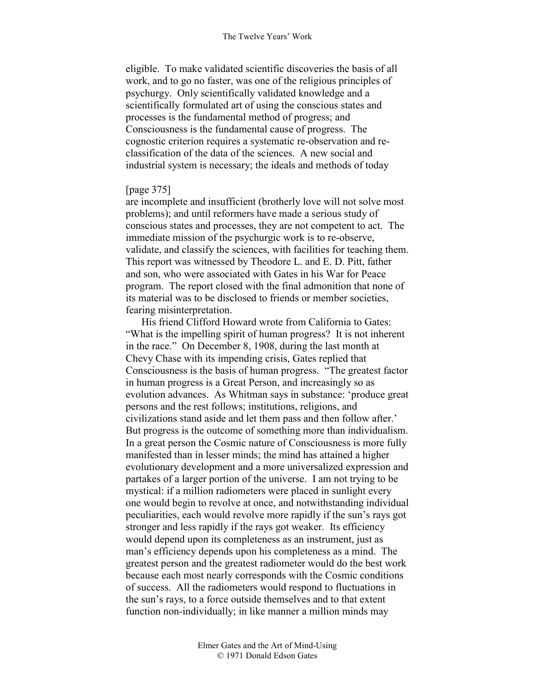eligible. To make validated scientific discoveries the basis of all work, and to go no faster, was one of the religious principles of psychurgy. Only scientifically validated knowledge and a scientifically formulated art of using the conscious states and processes is the fundamental method of progress; and Consciousness is the fundamental cause of progress. The cognostic criterion requires a systematic re-observation and reclassification of the data of the sciences. A new social and industrial system is necessary; the ideals and methods of today

## [page 375]

are incomplete and insufficient (brotherly love will not solve most problems); and until reformers have made a serious study of conscious states and processes, they are not competent to act. The immediate mission of the psychurgic work is to re-observe, validate, and classify the sciences, with facilities for teaching them. This report was witnessed by Theodore L. and E. D. Pitt, father and son, who were associated with Gates in his War for Peace program. The report closed with the final admonition that none of its material was to be disclosed to friends or member societies, fearing misinterpretation.

His friend Clifford Howard wrote from California to Gates: "What is the impelling spirit of human progress? It is not inherent in the race." On December 8, 1908, during the last month at Chevy Chase with its impending crisis, Gates replied that Consciousness is the basis of human progress. "The greatest factor in human progress is a Great Person, and increasingly so as evolution advances. As Whitman says in substance: 'produce great persons and the rest follows; institutions, religions, and civilizations stand aside and let them pass and then follow after.' But progress is the outcome of something more than individualism. In a great person the Cosmic nature of Consciousness is more fully manifested than in lesser minds; the mind has attained a higher evolutionary development and a more universalized expression and partakes of a larger portion of the universe. I am not trying to be mystical: if a million radiometers were placed in sunlight every one would begin to revolve at once, and notwithstanding individual peculiarities, each would revolve more rapidly if the sun's rays got stronger and less rapidly if the rays got weaker. Its efficiency would depend upon its completeness as an instrument, just as man's efficiency depends upon his completeness as a mind. The greatest person and the greatest radiometer would do the best work because each most nearly corresponds with the Cosmic conditions of success. All the radiometers would respond to fluctuations in the sun's rays, to a force outside themselves and to that extent function non-individually; in like manner a million minds may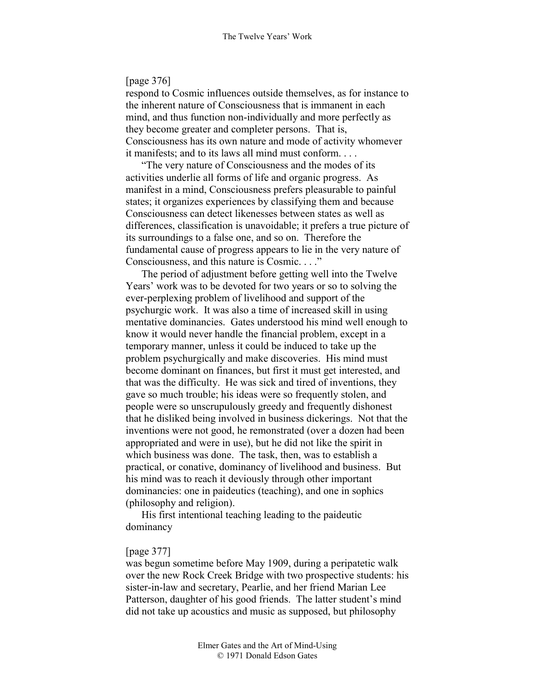## [page 376]

respond to Cosmic influences outside themselves, as for instance to the inherent nature of Consciousness that is immanent in each mind, and thus function non-individually and more perfectly as they become greater and completer persons. That is, Consciousness has its own nature and mode of activity whomever it manifests; and to its laws all mind must conform. . . .

"The very nature of Consciousness and the modes of its activities underlie all forms of life and organic progress. As manifest in a mind, Consciousness prefers pleasurable to painful states; it organizes experiences by classifying them and because Consciousness can detect likenesses between states as well as differences, classification is unavoidable; it prefers a true picture of its surroundings to a false one, and so on. Therefore the fundamental cause of progress appears to lie in the very nature of Consciousness, and this nature is Cosmic. . . ."

The period of adjustment before getting well into the Twelve Years' work was to be devoted for two years or so to solving the ever-perplexing problem of livelihood and support of the psychurgic work. It was also a time of increased skill in using mentative dominancies. Gates understood his mind well enough to know it would never handle the financial problem, except in a temporary manner, unless it could be induced to take up the problem psychurgically and make discoveries. His mind must become dominant on finances, but first it must get interested, and that was the difficulty. He was sick and tired of inventions, they gave so much trouble; his ideas were so frequently stolen, and people were so unscrupulously greedy and frequently dishonest that he disliked being involved in business dickerings. Not that the inventions were not good, he remonstrated (over a dozen had been appropriated and were in use), but he did not like the spirit in which business was done. The task, then, was to establish a practical, or conative, dominancy of livelihood and business. But his mind was to reach it deviously through other important dominancies: one in paideutics (teaching), and one in sophics (philosophy and religion).

His first intentional teaching leading to the paideutic dominancy

## [page 377]

was begun sometime before May 1909, during a peripatetic walk over the new Rock Creek Bridge with two prospective students: his sister-in-law and secretary, Pearlie, and her friend Marian Lee Patterson, daughter of his good friends. The latter student's mind did not take up acoustics and music as supposed, but philosophy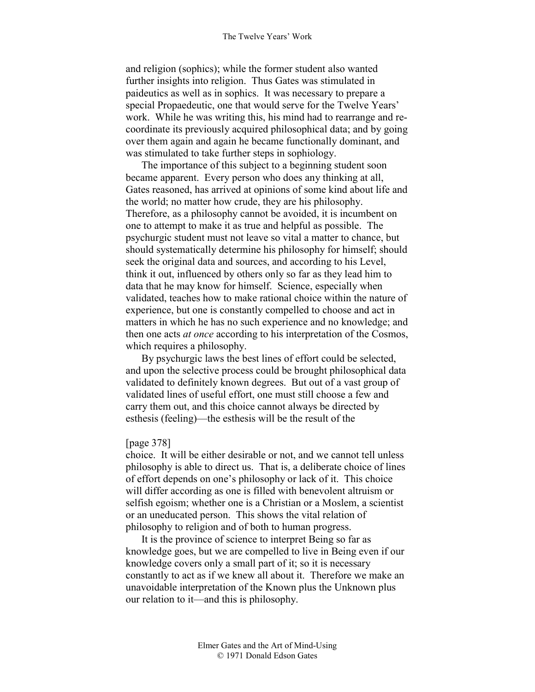and religion (sophics); while the former student also wanted further insights into religion. Thus Gates was stimulated in paideutics as well as in sophics. It was necessary to prepare a special Propaedeutic, one that would serve for the Twelve Years' work. While he was writing this, his mind had to rearrange and recoordinate its previously acquired philosophical data; and by going over them again and again he became functionally dominant, and was stimulated to take further steps in sophiology.

The importance of this subject to a beginning student soon became apparent. Every person who does any thinking at all, Gates reasoned, has arrived at opinions of some kind about life and the world; no matter how crude, they are his philosophy. Therefore, as a philosophy cannot be avoided, it is incumbent on one to attempt to make it as true and helpful as possible. The psychurgic student must not leave so vital a matter to chance, but should systematically determine his philosophy for himself; should seek the original data and sources, and according to his Level, think it out, influenced by others only so far as they lead him to data that he may know for himself. Science, especially when validated, teaches how to make rational choice within the nature of experience, but one is constantly compelled to choose and act in matters in which he has no such experience and no knowledge; and then one acts *at once* according to his interpretation of the Cosmos, which requires a philosophy.

By psychurgic laws the best lines of effort could be selected, and upon the selective process could be brought philosophical data validated to definitely known degrees. But out of a vast group of validated lines of useful effort, one must still choose a few and carry them out, and this choice cannot always be directed by esthesis (feeling)—the esthesis will be the result of the

### [page 378]

choice. It will be either desirable or not, and we cannot tell unless philosophy is able to direct us. That is, a deliberate choice of lines of effort depends on one's philosophy or lack of it. This choice will differ according as one is filled with benevolent altruism or selfish egoism; whether one is a Christian or a Moslem, a scientist or an uneducated person. This shows the vital relation of philosophy to religion and of both to human progress.

It is the province of science to interpret Being so far as knowledge goes, but we are compelled to live in Being even if our knowledge covers only a small part of it; so it is necessary constantly to act as if we knew all about it. Therefore we make an unavoidable interpretation of the Known plus the Unknown plus our relation to it—and this is philosophy.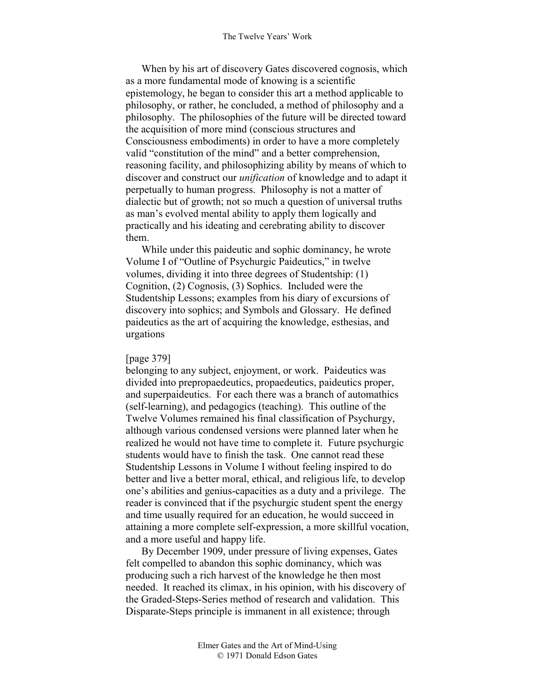When by his art of discovery Gates discovered cognosis, which as a more fundamental mode of knowing is a scientific epistemology, he began to consider this art a method applicable to philosophy, or rather, he concluded, a method of philosophy and a philosophy. The philosophies of the future will be directed toward the acquisition of more mind (conscious structures and Consciousness embodiments) in order to have a more completely valid "constitution of the mind" and a better comprehension, reasoning facility, and philosophizing ability by means of which to discover and construct our *unification* of knowledge and to adapt it perpetually to human progress. Philosophy is not a matter of dialectic but of growth; not so much a question of universal truths as man's evolved mental ability to apply them logically and practically and his ideating and cerebrating ability to discover them.

While under this paideutic and sophic dominancy, he wrote Volume I of "Outline of Psychurgic Paideutics," in twelve volumes, dividing it into three degrees of Studentship: (1) Cognition, (2) Cognosis, (3) Sophics. Included were the Studentship Lessons; examples from his diary of excursions of discovery into sophics; and Symbols and Glossary. He defined paideutics as the art of acquiring the knowledge, esthesias, and urgations

## [page 379]

belonging to any subject, enjoyment, or work. Paideutics was divided into prepropaedeutics, propaedeutics, paideutics proper, and superpaideutics. For each there was a branch of automathics (self-learning), and pedagogics (teaching). This outline of the Twelve Volumes remained his final classification of Psychurgy, although various condensed versions were planned later when he realized he would not have time to complete it. Future psychurgic students would have to finish the task. One cannot read these Studentship Lessons in Volume I without feeling inspired to do better and live a better moral, ethical, and religious life, to develop one's abilities and genius-capacities as a duty and a privilege. The reader is convinced that if the psychurgic student spent the energy and time usually required for an education, he would succeed in attaining a more complete self-expression, a more skillful vocation, and a more useful and happy life.

By December 1909, under pressure of living expenses, Gates felt compelled to abandon this sophic dominancy, which was producing such a rich harvest of the knowledge he then most needed. It reached its climax, in his opinion, with his discovery of the Graded-Steps-Series method of research and validation. This Disparate-Steps principle is immanent in all existence; through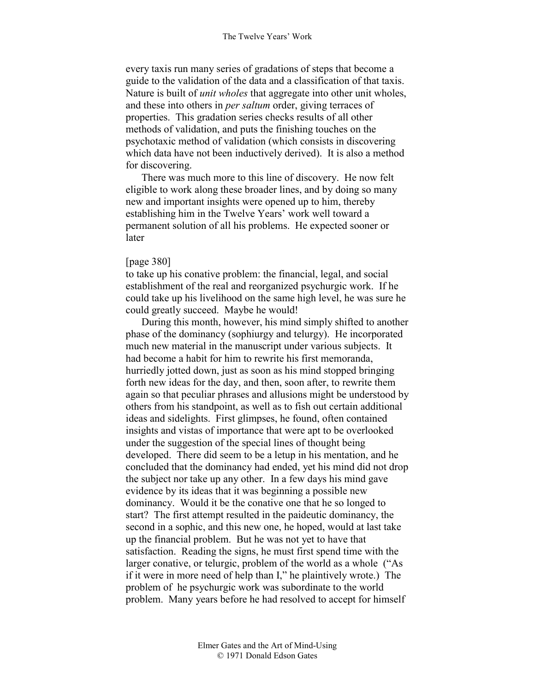every taxis run many series of gradations of steps that become a guide to the validation of the data and a classification of that taxis. Nature is built of *unit wholes* that aggregate into other unit wholes, and these into others in *per saltum* order, giving terraces of properties. This gradation series checks results of all other methods of validation, and puts the finishing touches on the psychotaxic method of validation (which consists in discovering which data have not been inductively derived). It is also a method for discovering.

There was much more to this line of discovery. He now felt eligible to work along these broader lines, and by doing so many new and important insights were opened up to him, thereby establishing him in the Twelve Years' work well toward a permanent solution of all his problems. He expected sooner or later

## [page 380]

to take up his conative problem: the financial, legal, and social establishment of the real and reorganized psychurgic work. If he could take up his livelihood on the same high level, he was sure he could greatly succeed. Maybe he would!

During this month, however, his mind simply shifted to another phase of the dominancy (sophiurgy and telurgy). He incorporated much new material in the manuscript under various subjects. It had become a habit for him to rewrite his first memoranda, hurriedly jotted down, just as soon as his mind stopped bringing forth new ideas for the day, and then, soon after, to rewrite them again so that peculiar phrases and allusions might be understood by others from his standpoint, as well as to fish out certain additional ideas and sidelights. First glimpses, he found, often contained insights and vistas of importance that were apt to be overlooked under the suggestion of the special lines of thought being developed. There did seem to be a letup in his mentation, and he concluded that the dominancy had ended, yet his mind did not drop the subject nor take up any other. In a few days his mind gave evidence by its ideas that it was beginning a possible new dominancy. Would it be the conative one that he so longed to start? The first attempt resulted in the paideutic dominancy, the second in a sophic, and this new one, he hoped, would at last take up the financial problem. But he was not yet to have that satisfaction. Reading the signs, he must first spend time with the larger conative, or telurgic, problem of the world as a whole ("As if it were in more need of help than I," he plaintively wrote.) The problem of he psychurgic work was subordinate to the world problem. Many years before he had resolved to accept for himself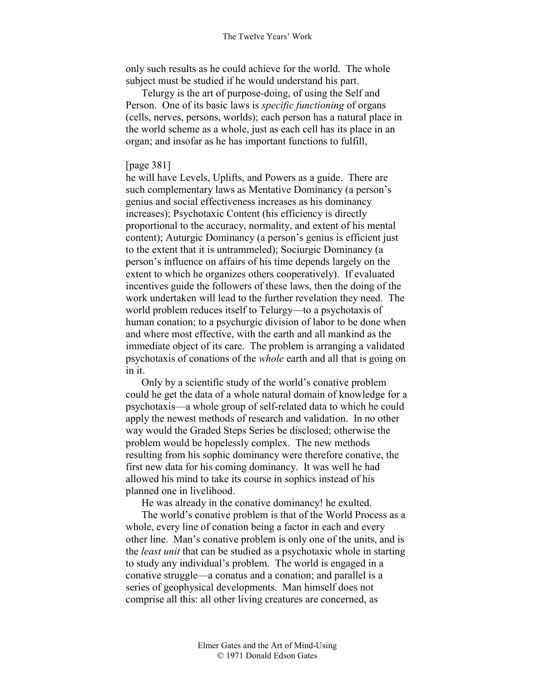#### The Twelve Years' Work

only such results as he could achieve for the world. The whole subject must be studied if he would understand his part.

Telurgy is the art of purpose-doing, of using the Self and Person. One of its basic laws is *specific functioning* of organs (cells, nerves, persons, worlds); each person has a natural place in the world scheme as a whole, just as each cell has its place in an organ; and insofar as he has important functions to fulfill,

## [page 381]

he will have Levels, Uplifts, and Powers as a guide. There are such complementary laws as Mentative Dominancy (a person's genius and social effectiveness increases as his dominancy increases); Psychotaxic Content (his efficiency is directly proportional to the accuracy, normality, and extent of his mental content); Auturgic Dominancy (a person's genius is efficient just to the extent that it is untrammeled); Sociurgic Dominancy (a person's influence on affairs of his time depends largely on the extent to which he organizes others cooperatively). If evaluated incentives guide the followers of these laws, then the doing of the work undertaken will lead to the further revelation they need. The world problem reduces itself to Telurgy—to a psychotaxis of human conation; to a psychurgic division of labor to be done when and where most effective, with the earth and all mankind as the immediate object of its care. The problem is arranging a validated psychotaxis of conations of the *whole* earth and all that is going on in it.

Only by a scientific study of the world's conative problem could he get the data of a whole natural domain of knowledge for a psychotaxis—a whole group of self-related data to which he could apply the newest methods of research and validation. In no other way would the Graded Steps Series be disclosed; otherwise the problem would be hopelessly complex. The new methods resulting from his sophic dominancy were therefore conative, the first new data for his coming dominancy. It was well he had allowed his mind to take its course in sophics instead of his planned one in livelihood.

He was already in the conative dominancy! he exulted.

The world's conative problem is that of the World Process as a whole, every line of conation being a factor in each and every other line. Man's conative problem is only one of the units, and is the *least unit* that can be studied as a psychotaxic whole in starting to study any individual's problem. The world is engaged in a conative struggle—a conatus and a conation; and parallel is a series of geophysical developments. Man himself does not comprise all this: all other living creatures are concerned, as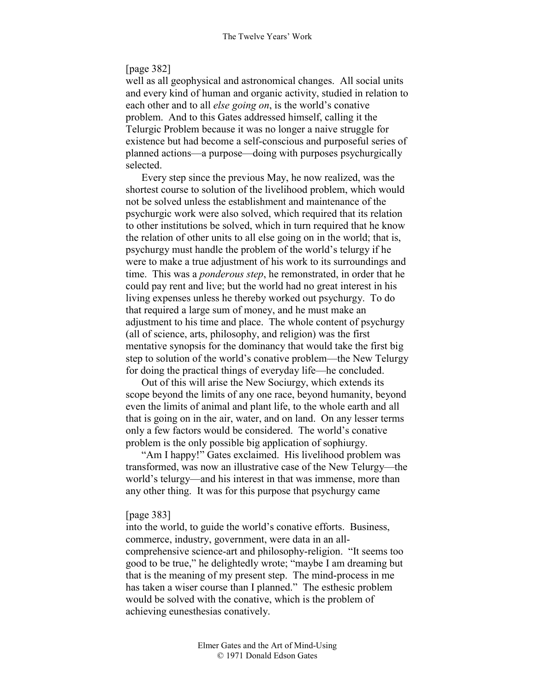## [page 382]

well as all geophysical and astronomical changes. All social units and every kind of human and organic activity, studied in relation to each other and to all *else going on*, is the world's conative problem. And to this Gates addressed himself, calling it the Telurgic Problem because it was no longer a naive struggle for existence but had become a self-conscious and purposeful series of planned actions—a purpose—doing with purposes psychurgically selected.

Every step since the previous May, he now realized, was the shortest course to solution of the livelihood problem, which would not be solved unless the establishment and maintenance of the psychurgic work were also solved, which required that its relation to other institutions be solved, which in turn required that he know the relation of other units to all else going on in the world; that is, psychurgy must handle the problem of the world's telurgy if he were to make a true adjustment of his work to its surroundings and time. This was a *ponderous step*, he remonstrated, in order that he could pay rent and live; but the world had no great interest in his living expenses unless he thereby worked out psychurgy. To do that required a large sum of money, and he must make an adjustment to his time and place. The whole content of psychurgy (all of science, arts, philosophy, and religion) was the first mentative synopsis for the dominancy that would take the first big step to solution of the world's conative problem—the New Telurgy for doing the practical things of everyday life—he concluded.

Out of this will arise the New Sociurgy, which extends its scope beyond the limits of any one race, beyond humanity, beyond even the limits of animal and plant life, to the whole earth and all that is going on in the air, water, and on land. On any lesser terms only a few factors would be considered. The world's conative problem is the only possible big application of sophiurgy.

"Am I happy!" Gates exclaimed. His livelihood problem was transformed, was now an illustrative case of the New Telurgy—the world's telurgy—and his interest in that was immense, more than any other thing. It was for this purpose that psychurgy came

#### [page 383]

into the world, to guide the world's conative efforts. Business, commerce, industry, government, were data in an allcomprehensive science-art and philosophy-religion. "It seems too good to be true," he delightedly wrote; "maybe I am dreaming but that is the meaning of my present step. The mind-process in me has taken a wiser course than I planned." The esthesic problem would be solved with the conative, which is the problem of achieving eunesthesias conatively.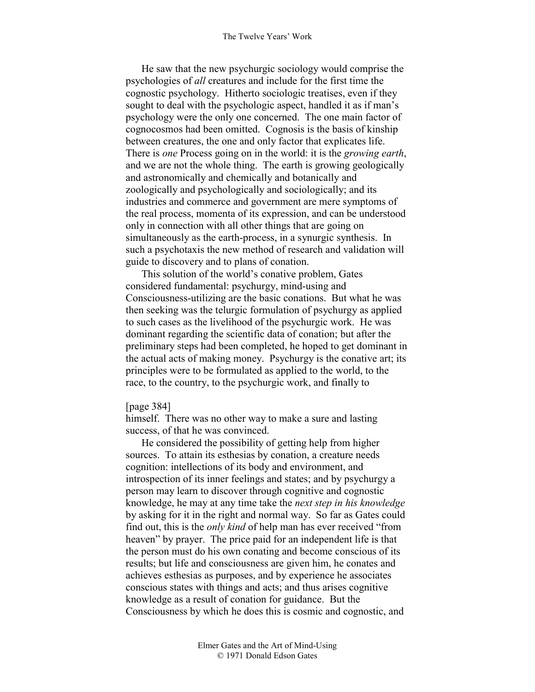He saw that the new psychurgic sociology would comprise the psychologies of *all* creatures and include for the first time the cognostic psychology. Hitherto sociologic treatises, even if they sought to deal with the psychologic aspect, handled it as if man's psychology were the only one concerned. The one main factor of cognocosmos had been omitted. Cognosis is the basis of kinship between creatures, the one and only factor that explicates life. There is *one* Process going on in the world: it is the *growing earth*, and we are not the whole thing. The earth is growing geologically and astronomically and chemically and botanically and zoologically and psychologically and sociologically; and its industries and commerce and government are mere symptoms of the real process, momenta of its expression, and can be understood only in connection with all other things that are going on simultaneously as the earth-process, in a synurgic synthesis. In such a psychotaxis the new method of research and validation will guide to discovery and to plans of conation.

This solution of the world's conative problem, Gates considered fundamental: psychurgy, mind-using and Consciousness-utilizing are the basic conations. But what he was then seeking was the telurgic formulation of psychurgy as applied to such cases as the livelihood of the psychurgic work. He was dominant regarding the scientific data of conation; but after the preliminary steps had been completed, he hoped to get dominant in the actual acts of making money. Psychurgy is the conative art; its principles were to be formulated as applied to the world, to the race, to the country, to the psychurgic work, and finally to

### [page 384]

himself. There was no other way to make a sure and lasting success, of that he was convinced.

He considered the possibility of getting help from higher sources. To attain its esthesias by conation, a creature needs cognition: intellections of its body and environment, and introspection of its inner feelings and states; and by psychurgy a person may learn to discover through cognitive and cognostic knowledge, he may at any time take the *next step in his knowledge* by asking for it in the right and normal way. So far as Gates could find out, this is the *only kind* of help man has ever received "from heaven" by prayer. The price paid for an independent life is that the person must do his own conating and become conscious of its results; but life and consciousness are given him, he conates and achieves esthesias as purposes, and by experience he associates conscious states with things and acts; and thus arises cognitive knowledge as a result of conation for guidance. But the Consciousness by which he does this is cosmic and cognostic, and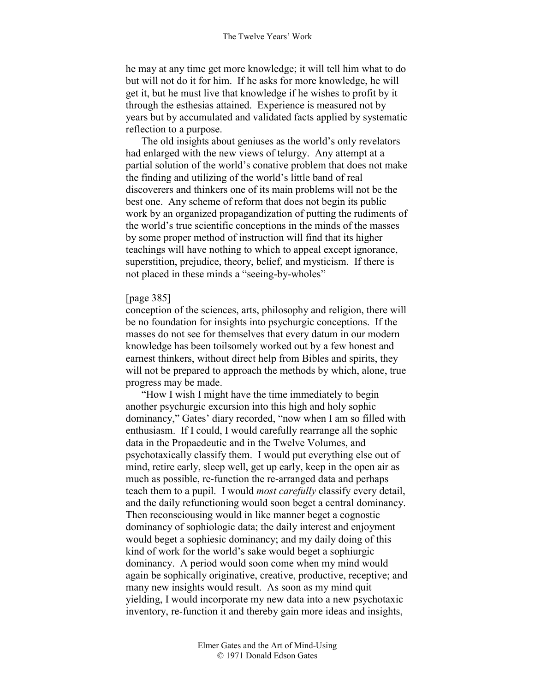he may at any time get more knowledge; it will tell him what to do but will not do it for him. If he asks for more knowledge, he will get it, but he must live that knowledge if he wishes to profit by it through the esthesias attained. Experience is measured not by years but by accumulated and validated facts applied by systematic reflection to a purpose.

The old insights about geniuses as the world's only revelators had enlarged with the new views of telurgy. Any attempt at a partial solution of the world's conative problem that does not make the finding and utilizing of the world's little band of real discoverers and thinkers one of its main problems will not be the best one. Any scheme of reform that does not begin its public work by an organized propagandization of putting the rudiments of the world's true scientific conceptions in the minds of the masses by some proper method of instruction will find that its higher teachings will have nothing to which to appeal except ignorance, superstition, prejudice, theory, belief, and mysticism. If there is not placed in these minds a "seeing-by-wholes"

## [page 385]

conception of the sciences, arts, philosophy and religion, there will be no foundation for insights into psychurgic conceptions. If the masses do not see for themselves that every datum in our modern knowledge has been toilsomely worked out by a few honest and earnest thinkers, without direct help from Bibles and spirits, they will not be prepared to approach the methods by which, alone, true progress may be made.

"How I wish I might have the time immediately to begin another psychurgic excursion into this high and holy sophic dominancy," Gates' diary recorded, "now when I am so filled with enthusiasm. If I could, I would carefully rearrange all the sophic data in the Propaedeutic and in the Twelve Volumes, and psychotaxically classify them. I would put everything else out of mind, retire early, sleep well, get up early, keep in the open air as much as possible, re-function the re-arranged data and perhaps teach them to a pupil. I would *most carefully* classify every detail, and the daily refunctioning would soon beget a central dominancy. Then reconsciousing would in like manner beget a cognostic dominancy of sophiologic data; the daily interest and enjoyment would beget a sophiesic dominancy; and my daily doing of this kind of work for the world's sake would beget a sophiurgic dominancy. A period would soon come when my mind would again be sophically originative, creative, productive, receptive; and many new insights would result. As soon as my mind quit yielding, I would incorporate my new data into a new psychotaxic inventory, re-function it and thereby gain more ideas and insights,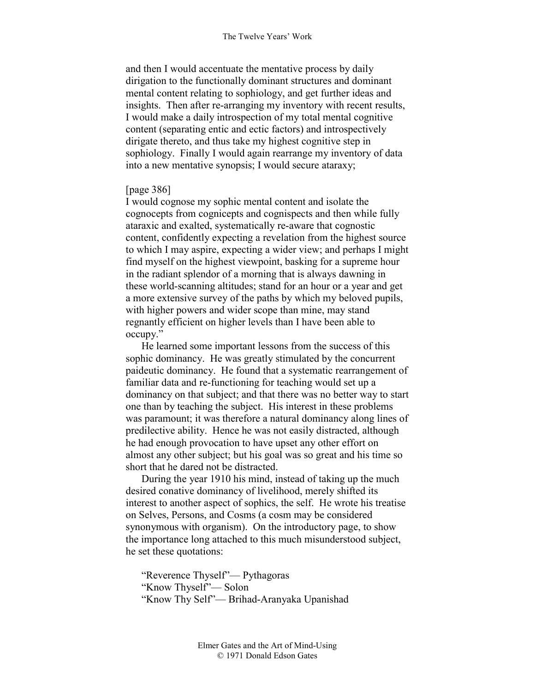and then I would accentuate the mentative process by daily dirigation to the functionally dominant structures and dominant mental content relating to sophiology, and get further ideas and insights. Then after re-arranging my inventory with recent results, I would make a daily introspection of my total mental cognitive content (separating entic and ectic factors) and introspectively dirigate thereto, and thus take my highest cognitive step in sophiology. Finally I would again rearrange my inventory of data into a new mentative synopsis; I would secure ataraxy;

## [page 386]

I would cognose my sophic mental content and isolate the cognocepts from cognicepts and cognispects and then while fully ataraxic and exalted, systematically re-aware that cognostic content, confidently expecting a revelation from the highest source to which I may aspire, expecting a wider view; and perhaps I might find myself on the highest viewpoint, basking for a supreme hour in the radiant splendor of a morning that is always dawning in these world-scanning altitudes; stand for an hour or a year and get a more extensive survey of the paths by which my beloved pupils, with higher powers and wider scope than mine, may stand regnantly efficient on higher levels than I have been able to occupy."

He learned some important lessons from the success of this sophic dominancy. He was greatly stimulated by the concurrent paideutic dominancy. He found that a systematic rearrangement of familiar data and re-functioning for teaching would set up a dominancy on that subject; and that there was no better way to start one than by teaching the subject. His interest in these problems was paramount; it was therefore a natural dominancy along lines of predilective ability. Hence he was not easily distracted, although he had enough provocation to have upset any other effort on almost any other subject; but his goal was so great and his time so short that he dared not be distracted.

During the year 1910 his mind, instead of taking up the much desired conative dominancy of livelihood, merely shifted its interest to another aspect of sophics, the self. He wrote his treatise on Selves, Persons, and Cosms (a cosm may be considered synonymous with organism). On the introductory page, to show the importance long attached to this much misunderstood subject, he set these quotations:

"Reverence Thyself"— Pythagoras "Know Thyself"— Solon "Know Thy Self"— Brihad-Aranyaka Upanishad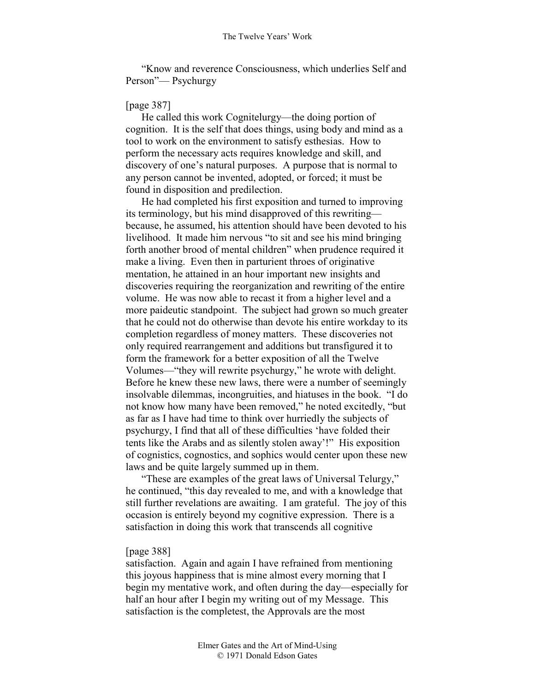"Know and reverence Consciousness, which underlies Self and Person"— Psychurgy

## [page 387]

He called this work Cognitelurgy—the doing portion of cognition. It is the self that does things, using body and mind as a tool to work on the environment to satisfy esthesias. How to perform the necessary acts requires knowledge and skill, and discovery of one's natural purposes. A purpose that is normal to any person cannot be invented, adopted, or forced; it must be found in disposition and predilection.

He had completed his first exposition and turned to improving its terminology, but his mind disapproved of this rewriting because, he assumed, his attention should have been devoted to his livelihood. It made him nervous "to sit and see his mind bringing forth another brood of mental children" when prudence required it make a living. Even then in parturient throes of originative mentation, he attained in an hour important new insights and discoveries requiring the reorganization and rewriting of the entire volume. He was now able to recast it from a higher level and a more paideutic standpoint. The subject had grown so much greater that he could not do otherwise than devote his entire workday to its completion regardless of money matters. These discoveries not only required rearrangement and additions but transfigured it to form the framework for a better exposition of all the Twelve Volumes—"they will rewrite psychurgy," he wrote with delight. Before he knew these new laws, there were a number of seemingly insolvable dilemmas, incongruities, and hiatuses in the book. "I do not know how many have been removed," he noted excitedly, "but as far as I have had time to think over hurriedly the subjects of psychurgy, I find that all of these difficulties 'have folded their tents like the Arabs and as silently stolen away'!" His exposition of cognistics, cognostics, and sophics would center upon these new laws and be quite largely summed up in them.

"These are examples of the great laws of Universal Telurgy," he continued, "this day revealed to me, and with a knowledge that still further revelations are awaiting. I am grateful. The joy of this occasion is entirely beyond my cognitive expression. There is a satisfaction in doing this work that transcends all cognitive

## [page 388]

satisfaction. Again and again I have refrained from mentioning this joyous happiness that is mine almost every morning that I begin my mentative work, and often during the day—especially for half an hour after I begin my writing out of my Message. This satisfaction is the completest, the Approvals are the most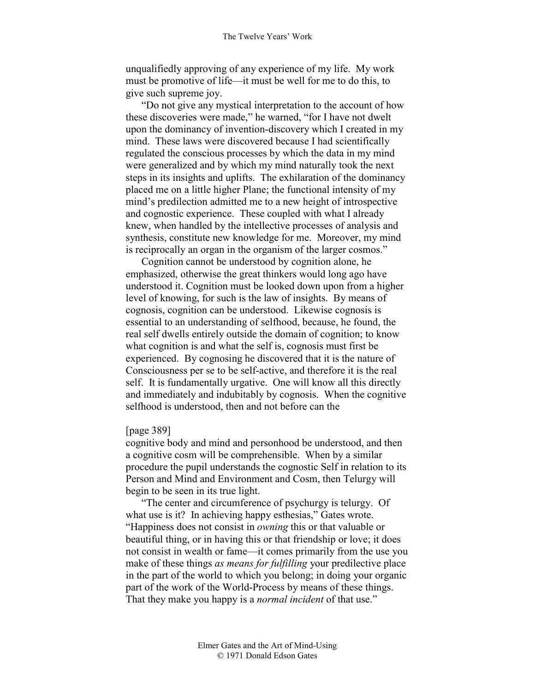unqualifiedly approving of any experience of my life. My work must be promotive of life—it must be well for me to do this, to give such supreme joy.

"Do not give any mystical interpretation to the account of how these discoveries were made," he warned, "for I have not dwelt upon the dominancy of invention-discovery which I created in my mind. These laws were discovered because I had scientifically regulated the conscious processes by which the data in my mind were generalized and by which my mind naturally took the next steps in its insights and uplifts. The exhilaration of the dominancy placed me on a little higher Plane; the functional intensity of my mind's predilection admitted me to a new height of introspective and cognostic experience. These coupled with what I already knew, when handled by the intellective processes of analysis and synthesis, constitute new knowledge for me. Moreover, my mind is reciprocally an organ in the organism of the larger cosmos."

Cognition cannot be understood by cognition alone, he emphasized, otherwise the great thinkers would long ago have understood it. Cognition must be looked down upon from a higher level of knowing, for such is the law of insights. By means of cognosis, cognition can be understood. Likewise cognosis is essential to an understanding of selfhood, because, he found, the real self dwells entirely outside the domain of cognition; to know what cognition is and what the self is, cognosis must first be experienced. By cognosing he discovered that it is the nature of Consciousness per se to be self-active, and therefore it is the real self. It is fundamentally urgative. One will know all this directly and immediately and indubitably by cognosis. When the cognitive selfhood is understood, then and not before can the

### [page 389]

cognitive body and mind and personhood be understood, and then a cognitive cosm will be comprehensible. When by a similar procedure the pupil understands the cognostic Self in relation to its Person and Mind and Environment and Cosm, then Telurgy will begin to be seen in its true light.

"The center and circumference of psychurgy is telurgy. Of what use is it? In achieving happy esthesias," Gates wrote. "Happiness does not consist in *owning* this or that valuable or beautiful thing, or in having this or that friendship or love; it does not consist in wealth or fame—it comes primarily from the use you make of these things *as means for fulfilling* your predilective place in the part of the world to which you belong; in doing your organic part of the work of the World-Process by means of these things. That they make you happy is a *normal incident* of that use."